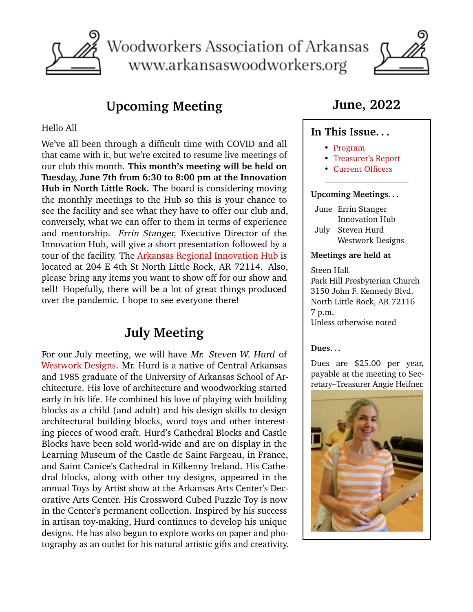

Woodworkers Association of Arkansas www.arkansaswoodworkers.org



# **Upcoming Meeting**

#### <span id="page-0-0"></span>Hello All

We've all been through a difficult time with COVID and all that came with it, but we're excited to resume live meetings of our club this month. **This month's meeting will be held on Tuesday, June 7th from 6:30 to 8:00 pm at the Innovation Hub in North Little Rock.** The board is considering moving the monthly meetings to the Hub so this is your chance to see the facility and see what they have to offer our club and, conversely, what we can offer to them in terms of experience and mentorship. Errin Stanger, Executive Director of the Innovation Hub, will give a short presentation followed by a tour of the facility. The [Arkansas Regional Innovation Hub](https://arhub.org/) is located at 204 E 4th St North Little Rock, AR 72114. Also, please bring any items you want to show off for our show and tell! Hopefully, there will be a lot of great things produced over the pandemic. I hope to see everyone there!

## **July Meeting**

For our July meeting, we will have Mr. Steven W. Hurd of [Westwork Designs.](https://www.westworkdesigns.com) Mr. Hurd is a native of Central Arkansas and 1985 graduate of the University of Arkansas School of Architecture. His love of architecture and woodworking started early in his life. He combined his love of playing with building blocks as a child (and adult) and his design skills to design architectural building blocks, word toys and other interesting pieces of wood craft. Hurd's Cathedral Blocks and Castle Blocks have been sold world-wide and are on display in the Learning Museum of the Castle de Saint Fargeau, in France, and Saint Canice's Cathedral in Kilkenny Ireland. His Cathedral blocks, along with other toy designs, appeared in the annual Toys by Artist show at the Arkansas Arts Center's Decorative Arts Center. His Crossword Cubed Puzzle Toy is now in the Center's permanent collection. Inspired by his success in artisan toy-making, Hurd continues to develop his unique designs. He has also begun to explore works on paper and photography as an outlet for his natural artistic gifts and creativity.

## **June, 2022**

### **In This Issue. . .**

- [Program](#page-0-0)
- [Treasurer's Report](#page-1-0)
- [Current Officers](#page-1-1)

#### **Upcoming Meetings. . .**

- June Errin Stanger Innovation Hub July Steven Hurd
- Westwork Designs

#### **Meetings are held at**

Steen Hall Park Hill Presbyterian Church 3150 John F. Kennedy Blvd. North Little Rock, AR 72116 7 p.m. Unless otherwise noted

#### **Dues. . .**

Dues are \$25.00 per year, payable at the meeting to Secretary–Treasurer Angie Heifner.